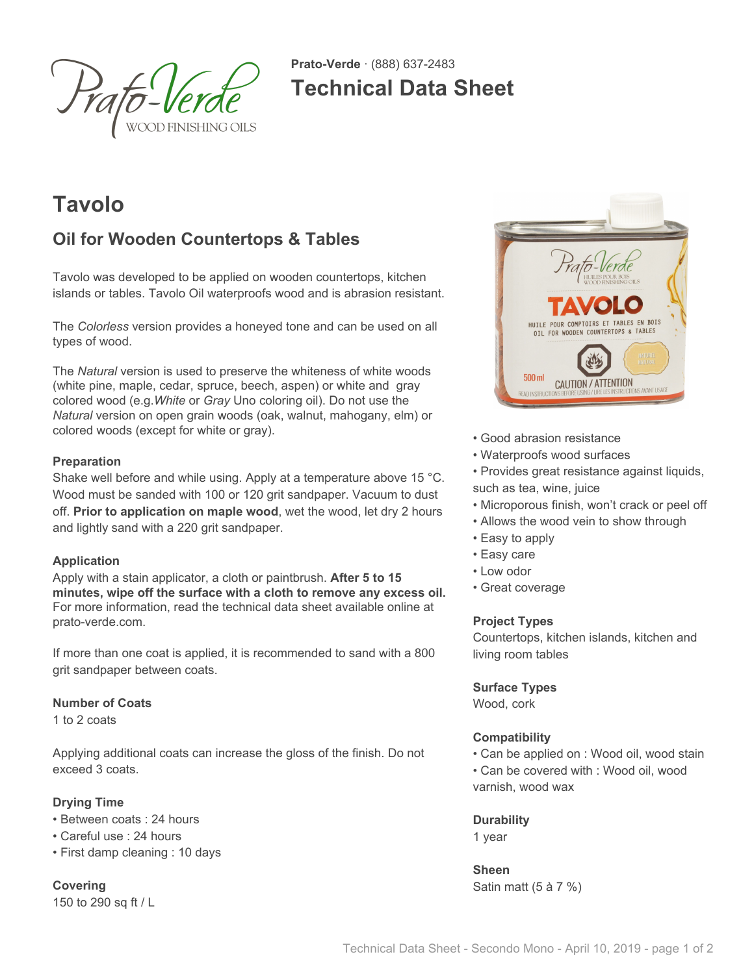

**Prato-Verde** · (888) 637-2483 **Technical Data Sheet**

# **Tavolo**

## **Oil for Wooden Countertops & Tables**

Tavolo was developed to be applied on wooden countertops, kitchen islands or tables. Tavolo Oil waterproofs wood and is abrasion resistant.

The *Colorless* version provides a honeyed tone and can be used on all types of wood.

The *Natural* version is used to preserve the whiteness of white woods (white pine, maple, cedar, spruce, beech, aspen) or white and gray colored wood (e.g.*White* or *Gray* Uno coloring oil). Do not use the *Natural* version on open grain woods (oak, walnut, mahogany, elm) or colored woods (except for white or gray).

## **Preparation**

Shake well before and while using. Apply at a temperature above 15 °C. Wood must be sanded with 100 or 120 grit sandpaper. Vacuum to dust off. **Prior to application on maple wood**, wet the wood, let dry 2 hours and lightly sand with a 220 grit sandpaper.

## **Application**

Apply with a stain applicator, a cloth or paintbrush. **After 5 to 15 minutes, wipe off the surface with a cloth to remove any excess oil.** For more information, read the technical data sheet available online at prato-verde.com.

If more than one coat is applied, it is recommended to sand with a 800 grit sandpaper between coats.

## **Number of Coats**

1 to 2 coats

Applying additional coats can increase the gloss of the finish. Do not exceed 3 coats.

## **Drying Time**

- Between coats : 24 hours
- Careful use : 24 hours
- First damp cleaning : 10 days

**Covering** 150 to 290 sq ft / L



- Good abrasion resistance
- Waterproofs wood surfaces
- Provides great resistance against liquids, such as tea, wine, juice
- Microporous finish, won't crack or peel off
- Allows the wood vein to show through
- Easy to apply
- Easy care
- Low odor
- Great coverage

## **Project Types**

Countertops, kitchen islands, kitchen and living room tables

## **Surface Types**

Wood, cork

## **Compatibility**

• Can be applied on : Wood oil, wood stain • Can be covered with : Wood oil, wood varnish, wood wax

## **Durability**

1 year

**Sheen** Satin matt (5 à 7 %)